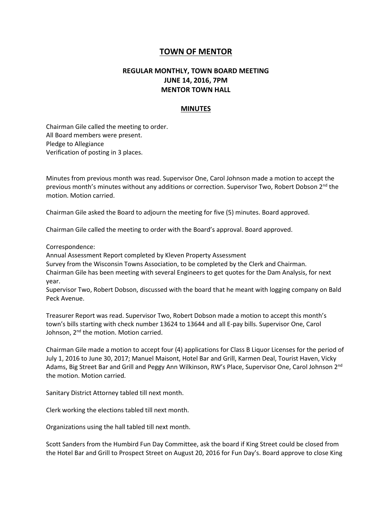## **TOWN OF MENTOR**

## **REGULAR MONTHLY, TOWN BOARD MEETING JUNE 14, 2016, 7PM MENTOR TOWN HALL**

## **MINUTES**

Chairman Gile called the meeting to order. All Board members were present. Pledge to Allegiance Verification of posting in 3 places.

Minutes from previous month was read. Supervisor One, Carol Johnson made a motion to accept the previous month's minutes without any additions or correction. Supervisor Two, Robert Dobson 2<sup>nd</sup> the motion. Motion carried.

Chairman Gile asked the Board to adjourn the meeting for five (5) minutes. Board approved.

Chairman Gile called the meeting to order with the Board's approval. Board approved.

Correspondence:

Annual Assessment Report completed by Kleven Property Assessment

Survey from the Wisconsin Towns Association, to be completed by the Clerk and Chairman.

Chairman Gile has been meeting with several Engineers to get quotes for the Dam Analysis, for next year.

Supervisor Two, Robert Dobson, discussed with the board that he meant with logging company on Bald Peck Avenue.

Treasurer Report was read. Supervisor Two, Robert Dobson made a motion to accept this month's town's bills starting with check number 13624 to 13644 and all E-pay bills. Supervisor One, Carol Johnson, 2<sup>nd</sup> the motion. Motion carried.

Chairman Gile made a motion to accept four (4) applications for Class B Liquor Licenses for the period of July 1, 2016 to June 30, 2017; Manuel Maisont, Hotel Bar and Grill, Karmen Deal, Tourist Haven, Vicky Adams, Big Street Bar and Grill and Peggy Ann Wilkinson, RW's Place, Supervisor One, Carol Johnson 2<sup>nd</sup> the motion. Motion carried.

Sanitary District Attorney tabled till next month.

Clerk working the elections tabled till next month.

Organizations using the hall tabled till next month.

Scott Sanders from the Humbird Fun Day Committee, ask the board if King Street could be closed from the Hotel Bar and Grill to Prospect Street on August 20, 2016 for Fun Day's. Board approve to close King